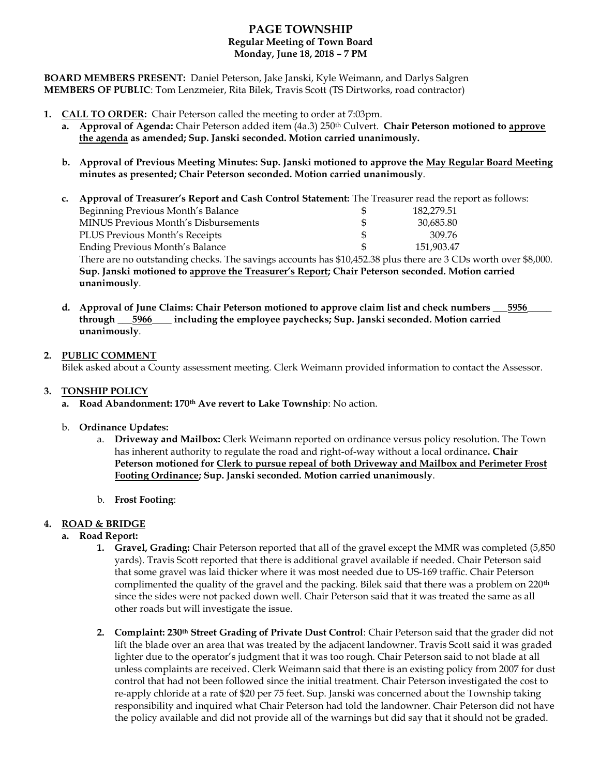# **PAGE TOWNSHIP Regular Meeting of Town Board Monday, June 18, 2018 – 7 PM**

**BOARD MEMBERS PRESENT:** Daniel Peterson, Jake Janski, Kyle Weimann, and Darlys Salgren **MEMBERS OF PUBLIC**: Tom Lenzmeier, Rita Bilek, Travis Scott (TS Dirtworks, road contractor)

- **1. CALL TO ORDER:** Chair Peterson called the meeting to order at 7:03pm.
	- **a. Approval of Agenda:** Chair Peterson added item (4a.3) 250th Culvert. **Chair Peterson motioned to approve the agenda as amended; Sup. Janski seconded. Motion carried unanimously.**
	- **b. Approval of Previous Meeting Minutes: Sup. Janski motioned to approve the May Regular Board Meeting minutes as presented; Chair Peterson seconded. Motion carried unanimously**.
	- **c. Approval of Treasurer's Report and Cash Control Statement:** The Treasurer read the report as follows: Beginning Previous Month's Balance  $\qquad$  \$ 182,279.51 MINUS Previous Month's Disbursements \$ 30,685.80 PLUS Previous Month's Receipts \$ 309.76 Ending Previous Month's Balance \$ 151,903.47 There are no outstanding checks. The savings accounts has \$10,452.38 plus there are 3 CDs worth over \$8,000. **Sup. Janski motioned to approve the Treasurer's Report; Chair Peterson seconded. Motion carried unanimously**.
	- **d. Approval of June Claims: Chair Peterson motioned to approve claim list and check numbers \_\_\_5956\_\_\_\_\_ through \_\_\_5966\_\_\_\_ including the employee paychecks; Sup. Janski seconded. Motion carried unanimously**.

### **2. PUBLIC COMMENT**

Bilek asked about a County assessment meeting. Clerk Weimann provided information to contact the Assessor.

### **3. TONSHIP POLICY**

**a. Road Abandonment: 170th Ave revert to Lake Township**: No action.

### b. **Ordinance Updates:**

- a. **Driveway and Mailbox:** Clerk Weimann reported on ordinance versus policy resolution. The Town has inherent authority to regulate the road and right-of-way without a local ordinance**. Chair Peterson motioned for Clerk to pursue repeal of both Driveway and Mailbox and Perimeter Frost Footing Ordinance; Sup. Janski seconded. Motion carried unanimously**.
- b. **Frost Footing**:

### **4. ROAD & BRIDGE**

### **a. Road Report:**

- **1. Gravel, Grading:** Chair Peterson reported that all of the gravel except the MMR was completed (5,850 yards). Travis Scott reported that there is additional gravel available if needed. Chair Peterson said that some gravel was laid thicker where it was most needed due to US-169 traffic. Chair Peterson complimented the quality of the gravel and the packing. Bilek said that there was a problem on 220<sup>th</sup> since the sides were not packed down well. Chair Peterson said that it was treated the same as all other roads but will investigate the issue.
- **2. Complaint: 230th Street Grading of Private Dust Control**: Chair Peterson said that the grader did not lift the blade over an area that was treated by the adjacent landowner. Travis Scott said it was graded lighter due to the operator's judgment that it was too rough. Chair Peterson said to not blade at all unless complaints are received. Clerk Weimann said that there is an existing policy from 2007 for dust control that had not been followed since the initial treatment. Chair Peterson investigated the cost to re-apply chloride at a rate of \$20 per 75 feet. Sup. Janski was concerned about the Township taking responsibility and inquired what Chair Peterson had told the landowner. Chair Peterson did not have the policy available and did not provide all of the warnings but did say that it should not be graded.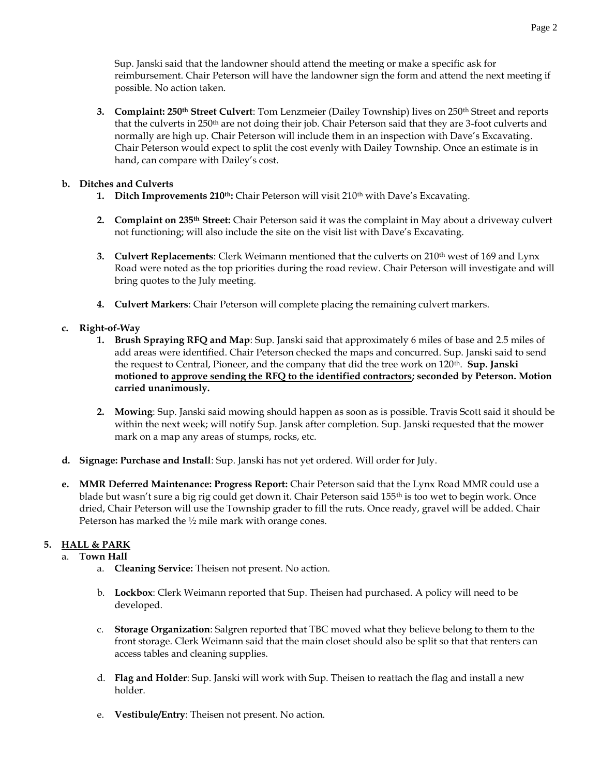Sup. Janski said that the landowner should attend the meeting or make a specific ask for reimbursement. Chair Peterson will have the landowner sign the form and attend the next meeting if possible. No action taken.

**3. Complaint: 250th Street Culvert**: Tom Lenzmeier (Dailey Township) lives on 250th Street and reports that the culverts in 250<sup>th</sup> are not doing their job. Chair Peterson said that they are 3-foot culverts and normally are high up. Chair Peterson will include them in an inspection with Dave's Excavating. Chair Peterson would expect to split the cost evenly with Dailey Township. Once an estimate is in hand, can compare with Dailey's cost.

## **b. Ditches and Culverts**

- **1. Ditch Improvements 210th:** Chair Peterson will visit 210th with Dave's Excavating.
- **2. Complaint on 235th Street:** Chair Peterson said it was the complaint in May about a driveway culvert not functioning; will also include the site on the visit list with Dave's Excavating.
- **3. Culvert Replacements**: Clerk Weimann mentioned that the culverts on 210<sup>th</sup> west of 169 and Lynx Road were noted as the top priorities during the road review. Chair Peterson will investigate and will bring quotes to the July meeting.
- **4. Culvert Markers**: Chair Peterson will complete placing the remaining culvert markers.

### **c. Right-of-Way**

- **1. Brush Spraying RFQ and Map**: Sup. Janski said that approximately 6 miles of base and 2.5 miles of add areas were identified. Chair Peterson checked the maps and concurred. Sup. Janski said to send the request to Central, Pioneer, and the company that did the tree work on 120th. **Sup. Janski motioned to approve sending the RFQ to the identified contractors; seconded by Peterson. Motion carried unanimously.**
- **2. Mowing**: Sup. Janski said mowing should happen as soon as is possible. Travis Scott said it should be within the next week; will notify Sup. Jansk after completion. Sup. Janski requested that the mower mark on a map any areas of stumps, rocks, etc.
- **d. Signage: Purchase and Install**: Sup. Janski has not yet ordered. Will order for July.
- **e. MMR Deferred Maintenance: Progress Report:** Chair Peterson said that the Lynx Road MMR could use a blade but wasn't sure a big rig could get down it. Chair Peterson said 155<sup>th</sup> is too wet to begin work. Once dried, Chair Peterson will use the Township grader to fill the ruts. Once ready, gravel will be added. Chair Peterson has marked the ½ mile mark with orange cones.

# **5. HALL & PARK**

### a. **Town Hall**

- a. **Cleaning Service:** Theisen not present. No action.
- b. **Lockbox**: Clerk Weimann reported that Sup. Theisen had purchased. A policy will need to be developed.
- c. **Storage Organization**: Salgren reported that TBC moved what they believe belong to them to the front storage. Clerk Weimann said that the main closet should also be split so that that renters can access tables and cleaning supplies.
- d. **Flag and Holder**: Sup. Janski will work with Sup. Theisen to reattach the flag and install a new holder.
- e. **Vestibule/Entry**: Theisen not present. No action.